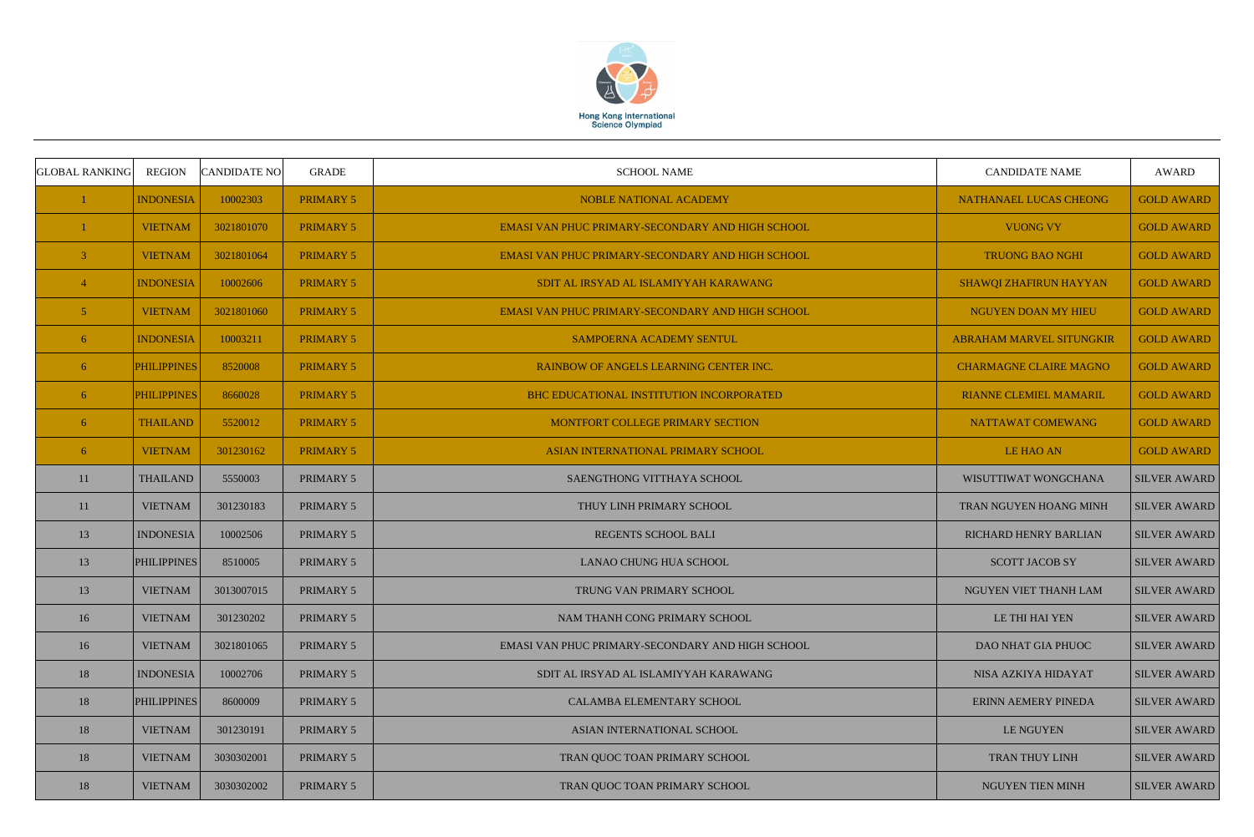

| <b>GLOBAL RANKING</b> | <b>REGION</b>      | <b>CANDIDATE NO</b> | <b>GRADE</b>     | <b>SCHOOL NAME</b>                               | <b>CANDIDATE NAME</b>           | <b>AWARD</b>        |
|-----------------------|--------------------|---------------------|------------------|--------------------------------------------------|---------------------------------|---------------------|
|                       | <b>INDONESIA</b>   | 10002303            | <b>PRIMARY 5</b> | <b>NOBLE NATIONAL ACADEMY</b>                    | NATHANAEL LUCAS CHEONG          | <b>GOLD AWARD</b>   |
|                       | <b>VIETNAM</b>     | 3021801070          | <b>PRIMARY 5</b> | EMASI VAN PHUC PRIMARY-SECONDARY AND HIGH SCHOOL | <b>VUONG VY</b>                 | <b>GOLD AWARD</b>   |
| 3                     | <b>VIETNAM</b>     | 3021801064          | <b>PRIMARY 5</b> | EMASI VAN PHUC PRIMARY-SECONDARY AND HIGH SCHOOL | <b>TRUONG BAO NGHI</b>          | <b>GOLD AWARD</b>   |
| $\overline{4}$        | <b>INDONESIA</b>   | 10002606            | <b>PRIMARY 5</b> | SDIT AL IRSYAD AL ISLAMIYYAH KARAWANG            | SHAWQI ZHAFIRUN HAYYAN          | <b>GOLD AWARD</b>   |
| 5                     | <b>VIETNAM</b>     | 3021801060          | <b>PRIMARY 5</b> | EMASI VAN PHUC PRIMARY-SECONDARY AND HIGH SCHOOL | NGUYEN DOAN MY HIEU             | <b>GOLD AWARD</b>   |
| 6                     | <b>INDONESIA</b>   | 10003211            | <b>PRIMARY 5</b> | <b>SAMPOERNA ACADEMY SENTUL</b>                  | <b>ABRAHAM MARVEL SITUNGKIR</b> | <b>GOLD AWARD</b>   |
| 6                     | <b>PHILIPPINES</b> | 8520008             | <b>PRIMARY 5</b> | RAINBOW OF ANGELS LEARNING CENTER INC.           | <b>CHARMAGNE CLAIRE MAGNO</b>   | <b>GOLD AWARD</b>   |
| 6                     | <b>PHILIPPINES</b> | 8660028             | <b>PRIMARY 5</b> | BHC EDUCATIONAL INSTITUTION INCORPORATED         | <b>RIANNE CLEMIEL MAMARIL</b>   | <b>GOLD AWARD</b>   |
| 6                     | <b>THAILAND</b>    | 5520012             | <b>PRIMARY 5</b> | MONTFORT COLLEGE PRIMARY SECTION                 | NATTAWAT COMEWANG               | <b>GOLD AWARD</b>   |
| 6                     | <b>VIETNAM</b>     | 301230162           | <b>PRIMARY 5</b> | ASIAN INTERNATIONAL PRIMARY SCHOOL               | LE HAO AN                       | <b>GOLD AWARD</b>   |
| 11                    | <b>THAILAND</b>    | 5550003             | PRIMARY 5        | SAENGTHONG VITTHAYA SCHOOL                       | WISUTTIWAT WONGCHANA            | <b>SILVER AWARD</b> |
| 11                    | <b>VIETNAM</b>     | 301230183           | PRIMARY 5        | THUY LINH PRIMARY SCHOOL                         | TRAN NGUYEN HOANG MINH          | <b>SILVER AWARD</b> |
| 13                    | <b>INDONESIA</b>   | 10002506            | PRIMARY 5        | REGENTS SCHOOL BALI                              | <b>RICHARD HENRY BARLIAN</b>    | <b>SILVER AWARD</b> |
| 13                    | <b>PHILIPPINES</b> | 8510005             | PRIMARY 5        | <b>LANAO CHUNG HUA SCHOOL</b>                    | <b>SCOTT JACOB SY</b>           | <b>SILVER AWARD</b> |
| 13                    | <b>VIETNAM</b>     | 3013007015          | PRIMARY 5        | TRUNG VAN PRIMARY SCHOOL                         | NGUYEN VIET THANH LAM           | <b>SILVER AWARD</b> |
| 16                    | <b>VIETNAM</b>     | 301230202           | PRIMARY 5        | NAM THANH CONG PRIMARY SCHOOL                    | LE THI HAI YEN                  | <b>SILVER AWARD</b> |
| 16                    | <b>VIETNAM</b>     | 3021801065          | PRIMARY 5        | EMASI VAN PHUC PRIMARY-SECONDARY AND HIGH SCHOOL | <b>DAO NHAT GIA PHUOC</b>       | <b>SILVER AWARD</b> |
| 18                    | <b>INDONESIA</b>   | 10002706            | PRIMARY 5        | SDIT AL IRSYAD AL ISLAMIYYAH KARAWANG            | NISA AZKIYA HIDAYAT             | <b>SILVER AWARD</b> |
| 18                    | <b>PHILIPPINES</b> | 8600009             | PRIMARY 5        | CALAMBA ELEMENTARY SCHOOL                        | ERINN AEMERY PINEDA             | <b>SILVER AWARD</b> |
| 18                    | <b>VIETNAM</b>     | 301230191           | PRIMARY 5        | ASIAN INTERNATIONAL SCHOOL                       | LE NGUYEN                       | <b>SILVER AWARD</b> |
| 18                    | <b>VIETNAM</b>     | 3030302001          | PRIMARY 5        | TRAN QUOC TOAN PRIMARY SCHOOL                    | TRAN THUY LINH                  | <b>SILVER AWARD</b> |
| 18                    | <b>VIETNAM</b>     | 3030302002          | PRIMARY 5        | TRAN QUOC TOAN PRIMARY SCHOOL                    | NGUYEN TIEN MINH                | <b>SILVER AWARD</b> |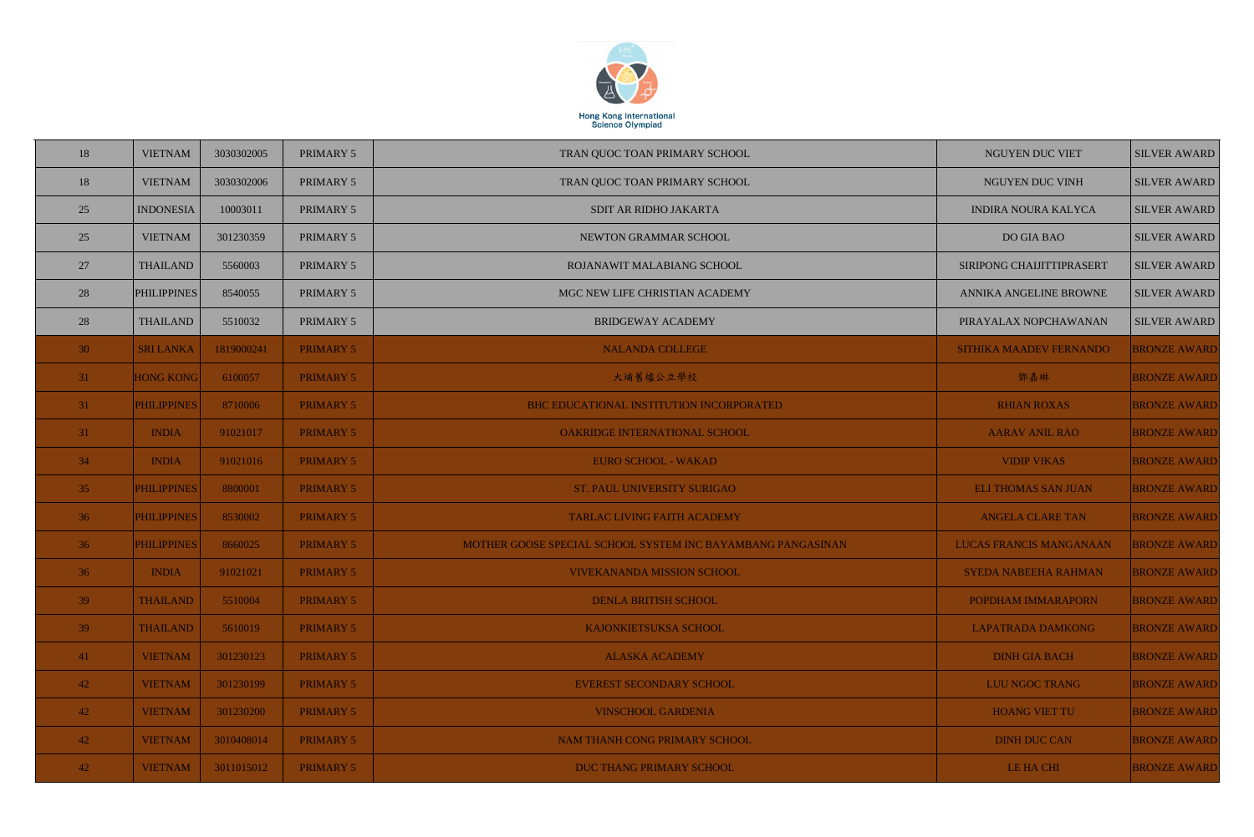

| 18    | <b>VIETNAM</b>     | 3030302005 | PRIMARY 5        | TRAN QUOC TOAN PRIMARY SCHOOL                               | NGUYEN DUC VIET                | <b>SILVER AWARD</b> |
|-------|--------------------|------------|------------------|-------------------------------------------------------------|--------------------------------|---------------------|
| 18    | <b>VIETNAM</b>     | 3030302006 | PRIMARY 5        | TRAN QUOC TOAN PRIMARY SCHOOL                               | NGUYEN DUC VINH                | <b>SILVER AWARD</b> |
| 25    | <b>INDONESIA</b>   | 10003011   | PRIMARY 5        | SDIT AR RIDHO JAKARTA                                       | <b>INDIRA NOURA KALYCA</b>     | <b>SILVER AWARD</b> |
| 25    | <b>VIETNAM</b>     | 301230359  | PRIMARY 5        | NEWTON GRAMMAR SCHOOL                                       | DO GIA BAO                     | <b>SILVER AWARD</b> |
| 27    | <b>THAILAND</b>    | 5560003    | PRIMARY 5        | ROJANAWIT MALABIANG SCHOOL                                  | SIRIPONG CHAIJITTIPRASERT      | <b>SILVER AWARD</b> |
| 28    | <b>PHILIPPINES</b> | 8540055    | PRIMARY 5        | MGC NEW LIFE CHRISTIAN ACADEMY                              | ANNIKA ANGELINE BROWNE         | <b>SILVER AWARD</b> |
| 28    | <b>THAILAND</b>    | 5510032    | PRIMARY 5        | <b>BRIDGEWAY ACADEMY</b>                                    | PIRAYALAX NOPCHAWANAN          | <b>SILVER AWARD</b> |
| 30    | <b>SRI LANKA</b>   | 1819000241 | <b>PRIMARY 5</b> | <b>NALANDA COLLEGE</b>                                      | SITHIKA MAADEV FERNANDO        | <b>BRONZE AWARD</b> |
| $-31$ | <b>HONG KONG</b>   | 6100057    | <b>PRIMARY 5</b> | 大埔舊墟公立學校                                                    | 鄧嘉琳                            | <b>BRONZE AWARD</b> |
| $-31$ | <b>PHILIPPINES</b> | 8710006    | <b>PRIMARY 5</b> | BHC EDUCATIONAL INSTITUTION INCORPORATED                    | <b>RHIAN ROXAS</b>             | <b>BRONZE AWARD</b> |
| $-31$ | <b>INDIA</b>       | 91021017   | <b>PRIMARY 5</b> | OAKRIDGE INTERNATIONAL SCHOOL                               | <b>AARAV ANIL RAO</b>          | <b>BRONZE AWARD</b> |
| 34    | <b>INDIA</b>       | 91021016   | <b>PRIMARY 5</b> | <b>EURO SCHOOL - WAKAD</b>                                  | <b>VIDIP VIKAS</b>             | <b>BRONZE AWARD</b> |
| 35    | <b>PHILIPPINES</b> | 8800001    | <b>PRIMARY 5</b> | ST. PAUL UNIVERSITY SURIGAO                                 | <b>ELI THOMAS SAN JUAN</b>     | <b>BRONZE AWARD</b> |
| 36    | <b>PHILIPPINES</b> | 8530002    | <b>PRIMARY 5</b> | <b>TARLAC LIVING FAITH ACADEMY</b>                          | <b>ANGELA CLARE TAN</b>        | <b>BRONZE AWARD</b> |
| 36    | <b>PHILIPPINES</b> | 8660025    | <b>PRIMARY 5</b> | MOTHER GOOSE SPECIAL SCHOOL SYSTEM INC BAYAMBANG PANGASINAN | <b>LUCAS FRANCIS MANGANAAN</b> | <b>BRONZE AWARD</b> |
| 36    | <b>INDIA</b>       | 91021021   | <b>PRIMARY 5</b> | <b>VIVEKANANDA MISSION SCHOOL</b>                           | SYEDA NABEEHA RAHMAN           | <b>BRONZE AWARD</b> |
| 39    | <b>THAILAND</b>    | 5510004    | <b>PRIMARY 5</b> | <b>DENLA BRITISH SCHOOL</b>                                 | POPDHAM IMMARAPORN             | <b>BRONZE AWARD</b> |
| 39    | <b>THAILAND</b>    | 5610019    | <b>PRIMARY 5</b> | KAJONKIETSUKSA SCHOOL                                       | <b>LAPATRADA DAMKONG</b>       | <b>BRONZE AWARD</b> |
| $-41$ | <b>VIETNAM</b>     | 301230123  | <b>PRIMARY 5</b> | <b>ALASKA ACADEMY</b>                                       | <b>DINH GIA BACH</b>           | <b>BRONZE AWARD</b> |
| $-42$ | <b>VIETNAM</b>     | 301230199  | <b>PRIMARY 5</b> | <b>EVEREST SECONDARY SCHOOL</b>                             | <b>LUU NGOC TRANG</b>          | <b>BRONZE AWARD</b> |
| $-42$ | <b>VIETNAM</b>     | 301230200  | <b>PRIMARY 5</b> | <b>VINSCHOOL GARDENIA</b>                                   | <b>HOANG VIET TU</b>           | <b>BRONZE AWARD</b> |
| $-42$ | <b>VIETNAM</b>     | 3010408014 | <b>PRIMARY 5</b> | NAM THANH CONG PRIMARY SCHOOL                               | <b>DINH DUC CAN</b>            | <b>BRONZE AWARD</b> |
| 42    | <b>VIETNAM</b>     | 3011015012 | <b>PRIMARY 5</b> | DUC THANG PRIMARY SCHOOL                                    | LE HA CHI                      | <b>BRONZE AWARD</b> |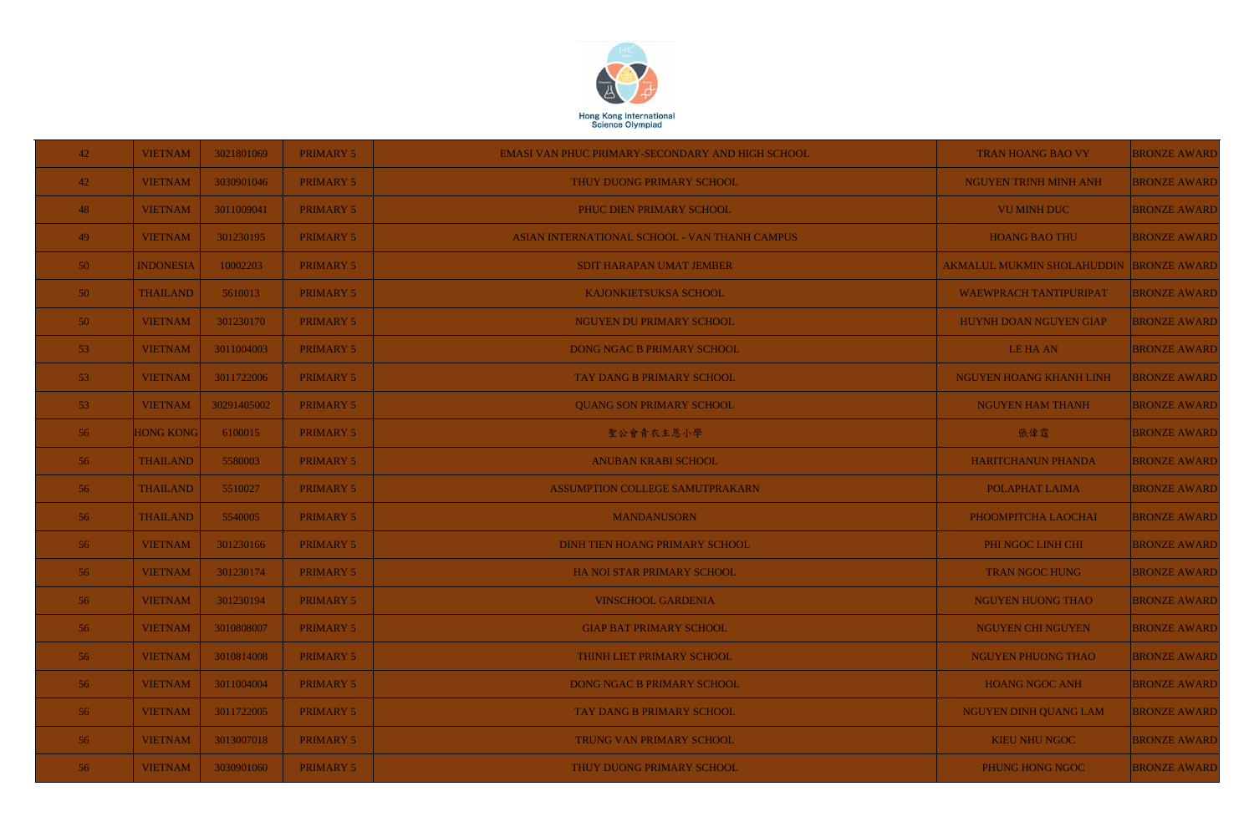

| 42              | <b>VIETNAM</b>   | 3021801069  | <b>PRIMARY 5</b> | EMASI VAN PHUC PRIMARY-SECONDARY AND HIGH SCHOOL | TRAN HOANG BAO VY                 | <b>BRONZE AWARD</b> |
|-----------------|------------------|-------------|------------------|--------------------------------------------------|-----------------------------------|---------------------|
| 42 <sup>°</sup> | <b>VIETNAM</b>   | 3030901046  | <b>PRIMARY 5</b> | THUY DUONG PRIMARY SCHOOL                        | NGUYEN TRINH MINH ANH             | <b>BRONZE AWARD</b> |
| 48              | <b>VIETNAM</b>   | 3011009041  | <b>PRIMARY 5</b> | PHUC DIEN PRIMARY SCHOOL                         | <b>VU MINH DUC</b>                | <b>BRONZE AWARD</b> |
| 49              | <b>VIETNAM</b>   | 301230195   | <b>PRIMARY 5</b> | ASIAN INTERNATIONAL SCHOOL - VAN THANH CAMPUS    | <b>HOANG BAO THU</b>              | <b>BRONZE AWARD</b> |
| 50 <sub>1</sub> | <b>INDONESIA</b> | 10002203    | <b>PRIMARY 5</b> | <b>SDIT HARAPAN UMAT JEMBER</b>                  | <b>AKMALUL MUKMIN SHOLAHUDDIN</b> | <b>BRONZE AWARD</b> |
| 50 <sup>°</sup> | <b>THAILAND</b>  | 5610013     | <b>PRIMARY 5</b> | KAJONKIETSUKSA SCHOOL                            | <b>WAEWPRACH TANTIPURIPAT</b>     | <b>BRONZE AWARD</b> |
| 50 <sub>1</sub> | <b>VIETNAM</b>   | 301230170   | <b>PRIMARY 5</b> | NGUYEN DU PRIMARY SCHOOL                         | HUYNH DOAN NGUYEN GIAP            | <b>BRONZE AWARD</b> |
| 53 <sup>°</sup> | <b>VIETNAM</b>   | 3011004003  | <b>PRIMARY 5</b> | DONG NGAC B PRIMARY SCHOOL                       | LE HA AN                          | <b>BRONZE AWARD</b> |
| 53 <sup>°</sup> | <b>VIETNAM</b>   | 3011722006  | <b>PRIMARY 5</b> | <b>TAY DANG B PRIMARY SCHOOL</b>                 | NGUYEN HOANG KHANH LINH           | <b>BRONZE AWARD</b> |
| 53 <sup>°</sup> | <b>VIETNAM</b>   | 30291405002 | <b>PRIMARY 5</b> | <b>QUANG SON PRIMARY SCHOOL</b>                  | <b>NGUYEN HAM THANH</b>           | <b>BRONZE AWARD</b> |
| 56              | <b>HONG KONG</b> | 6100015     | <b>PRIMARY 5</b> | 聖公會青衣主恩小學                                        | 張偉霆                               | <b>BRONZE AWARD</b> |
| 56              | <b>THAILAND</b>  | 5580003     | <b>PRIMARY 5</b> | <b>ANUBAN KRABI SCHOOL</b>                       | HARITCHANUN PHANDA                | <b>BRONZE AWARD</b> |
| 56              | <b>THAILAND</b>  | 5510027     | <b>PRIMARY 5</b> | ASSUMPTION COLLEGE SAMUTPRAKARN                  | POLAPHAT LAIMA                    | <b>BRONZE AWARD</b> |
| 56              | <b>THAILAND</b>  | 5540005     | <b>PRIMARY 5</b> | <b>MANDANUSORN</b>                               | PHOOMPITCHA LAOCHAI               | <b>BRONZE AWARD</b> |
| 56              | <b>VIETNAM</b>   | 301230166   | <b>PRIMARY 5</b> | DINH TIEN HOANG PRIMARY SCHOOL                   | PHI NGOC LINH CHI                 | <b>BRONZE AWARD</b> |
| 50 <sub>1</sub> | <b>VIETNAM</b>   | 301230174   | <b>PRIMARY 5</b> | HA NOI STAR PRIMARY SCHOOL                       | <b>TRAN NGOC HUNG</b>             | <b>BRONZE AWARD</b> |
| 56              | <b>VIETNAM</b>   | 301230194   | <b>PRIMARY 5</b> | <b>VINSCHOOL GARDENIA</b>                        | NGUYEN HUONG THAO                 | <b>BRONZE AWARD</b> |
| 56              | <b>VIETNAM</b>   | 3010808007  | <b>PRIMARY 5</b> | <b>GIAP BAT PRIMARY SCHOOL</b>                   | <b>NGUYEN CHI NGUYEN</b>          | <b>BRONZE AWARD</b> |
| 56              | <b>VIETNAM</b>   | 3010814008  | <b>PRIMARY 5</b> | THINH LIET PRIMARY SCHOOL                        | NGUYEN PHUONG THAO                | <b>BRONZE AWARD</b> |
| 56              | <b>VIETNAM</b>   | 3011004004  | <b>PRIMARY 5</b> | DONG NGAC B PRIMARY SCHOOL                       | <b>HOANG NGOC ANH</b>             | <b>BRONZE AWARD</b> |
| 56              | <b>VIETNAM</b>   | 3011722005  | <b>PRIMARY 5</b> | <b>TAY DANG B PRIMARY SCHOOL</b>                 | <b>NGUYEN DINH QUANG LAM</b>      | <b>BRONZE AWARD</b> |
| 56              | <b>VIETNAM</b>   | 3013007018  | <b>PRIMARY 5</b> | TRUNG VAN PRIMARY SCHOOL                         | <b>KIEU NHU NGOC</b>              | <b>BRONZE AWARD</b> |
| 56              | <b>VIETNAM</b>   | 3030901060  | <b>PRIMARY 5</b> | THUY DUONG PRIMARY SCHOOL                        | PHUNG HONG NGOC                   | <b>BRONZE AWARD</b> |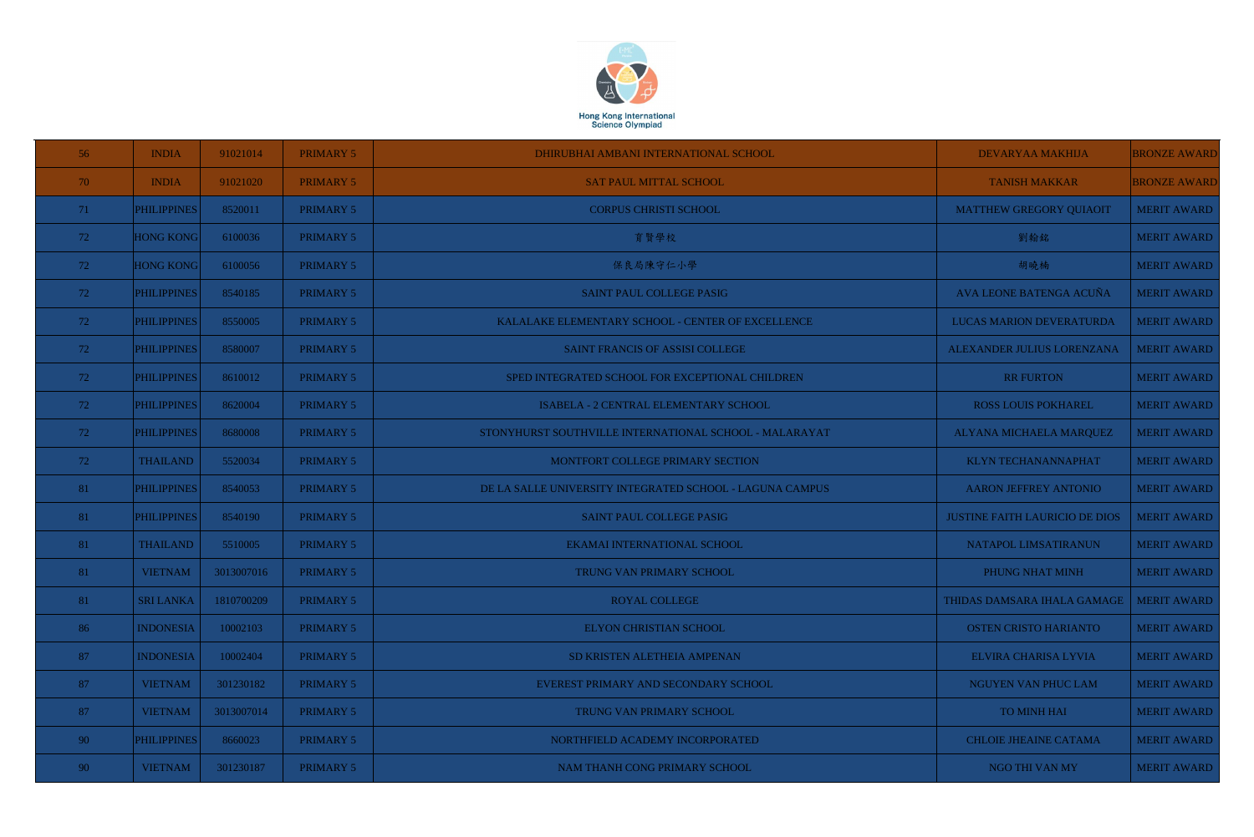

| 56              | <b>INDIA</b>       | 91021014   | <b>PRIMARY 5</b> | DHIRUBHAI AMBANI INTERNATIONAL SCHOOL                    | DEVARYAA MAKHIJA                      | <b>BRONZE AWARD</b> |
|-----------------|--------------------|------------|------------------|----------------------------------------------------------|---------------------------------------|---------------------|
| 70              | <b>INDIA</b>       | 91021020   | <b>PRIMARY 5</b> | <b>SAT PAUL MITTAL SCHOOL</b>                            | <b>TANISH MAKKAR</b>                  | <b>BRONZE AWARD</b> |
| 71              | <b>PHILIPPINES</b> | 8520011    | <b>PRIMARY 5</b> | <b>CORPUS CHRISTI SCHOOL</b>                             | <b>MATTHEW GREGORY QUIAOIT</b>        | <b>MERIT AWARD</b>  |
| 72              | <b>HONG KONG</b>   | 6100036    | PRIMARY 5        | 育賢學校                                                     | 劉翰銘                                   | <b>MERIT AWARD</b>  |
| 72              | <b>HONG KONG</b>   | 6100056    | <b>PRIMARY 5</b> | 保良局陳守仁小學                                                 | 胡曉楠                                   | <b>MERIT AWARD</b>  |
| 72              | <b>PHILIPPINES</b> | 8540185    | PRIMARY 5        | SAINT PAUL COLLEGE PASIG                                 | AVA LEONE BATENGA ACUÑA               | <b>MERIT AWARD</b>  |
| 72              | <b>PHILIPPINES</b> | 8550005    | <b>PRIMARY 5</b> | KALALAKE ELEMENTARY SCHOOL - CENTER OF EXCELLENCE        | LUCAS MARION DEVERATURDA              | <b>MERIT AWARD</b>  |
| 72              | <b>PHILIPPINES</b> | 8580007    | <b>PRIMARY 5</b> | SAINT FRANCIS OF ASSISI COLLEGE                          | ALEXANDER JULIUS LORENZANA            | <b>MERIT AWARD</b>  |
| 72              | <b>PHILIPPINES</b> | 8610012    | PRIMARY 5        | SPED INTEGRATED SCHOOL FOR EXCEPTIONAL CHILDREN          | <b>RR FURTON</b>                      | <b>MERIT AWARD</b>  |
| 72              | <b>PHILIPPINES</b> | 8620004    | PRIMARY 5        | ISABELA - 2 CENTRAL ELEMENTARY SCHOOL                    | <b>ROSS LOUIS POKHAREL</b>            | <b>MERIT AWARD</b>  |
| 72              | <b>PHILIPPINES</b> | 8680008    | PRIMARY 5        | STONYHURST SOUTHVILLE INTERNATIONAL SCHOOL - MALARAYAT   | ALYANA MICHAELA MARQUEZ               | <b>MERIT AWARD</b>  |
| 72              | <b>THAILAND</b>    | 5520034    | PRIMARY 5        | MONTFORT COLLEGE PRIMARY SECTION                         | <b>KLYN TECHANANNAPHAT</b>            | <b>MERIT AWARD</b>  |
| 81              | <b>PHILIPPINES</b> | 8540053    | PRIMARY 5        | DE LA SALLE UNIVERSITY INTEGRATED SCHOOL - LAGUNA CAMPUS | <b>AARON JEFFREY ANTONIO</b>          | <b>MERIT AWARD</b>  |
| 81              | <b>PHILIPPINES</b> | 8540190    | PRIMARY 5        | SAINT PAUL COLLEGE PASIG                                 | <b>JUSTINE FAITH LAURICIO DE DIOS</b> | <b>MERIT AWARD</b>  |
| 81              | <b>THAILAND</b>    | 5510005    | <b>PRIMARY 5</b> | EKAMAI INTERNATIONAL SCHOOL                              | NATAPOL LIMSATIRANUN                  | <b>MERIT AWARD</b>  |
| 81              | VIETNAM            | 3013007016 | PRIMARY 5        | TRUNG VAN PRIMARY SCHOOL                                 | PHUNG NHAT MINH                       | <b>MERIT AWARD</b>  |
| 81              | <b>SRI LANKA</b>   | 1810700209 | <b>PRIMARY 5</b> | <b>ROYAL COLLEGE</b>                                     | THIDAS DAMSARA IHALA GAMAGE           | <b>MERIT AWARD</b>  |
| 86              | <b>INDONESIA</b>   | 10002103   | PRIMARY 5        | <b>ELYON CHRISTIAN SCHOOL</b>                            | <b>OSTEN CRISTO HARIANTO</b>          | MERIT AWARD         |
| 87              | <b>INDONESIA</b>   | 10002404   | <b>PRIMARY 5</b> | SD KRISTEN ALETHEIA AMPENAN                              | ELVIRA CHARISA LYVIA                  | <b>MERIT AWARD</b>  |
| 87              | <b>VIETNAM</b>     | 301230182  | <b>PRIMARY 5</b> | EVEREST PRIMARY AND SECONDARY SCHOOL                     | NGUYEN VAN PHUC LAM                   | <b>MERIT AWARD</b>  |
| 87              | <b>VIETNAM</b>     | 3013007014 | <b>PRIMARY 5</b> | TRUNG VAN PRIMARY SCHOOL                                 | <b>TO MINH HAI</b>                    | <b>MERIT AWARD</b>  |
| 90 <sup>°</sup> | <b>PHILIPPINES</b> | 8660023    | PRIMARY 5        | NORTHFIELD ACADEMY INCORPORATED                          | <b>CHLOIE JHEAINE CATAMA</b>          | <b>MERIT AWARD</b>  |
| 90 <sup>°</sup> | <b>VIETNAM</b>     | 301230187  | PRIMARY 5        | NAM THANH CONG PRIMARY SCHOOL                            | NGO THI VAN MY                        | MERIT AWARD         |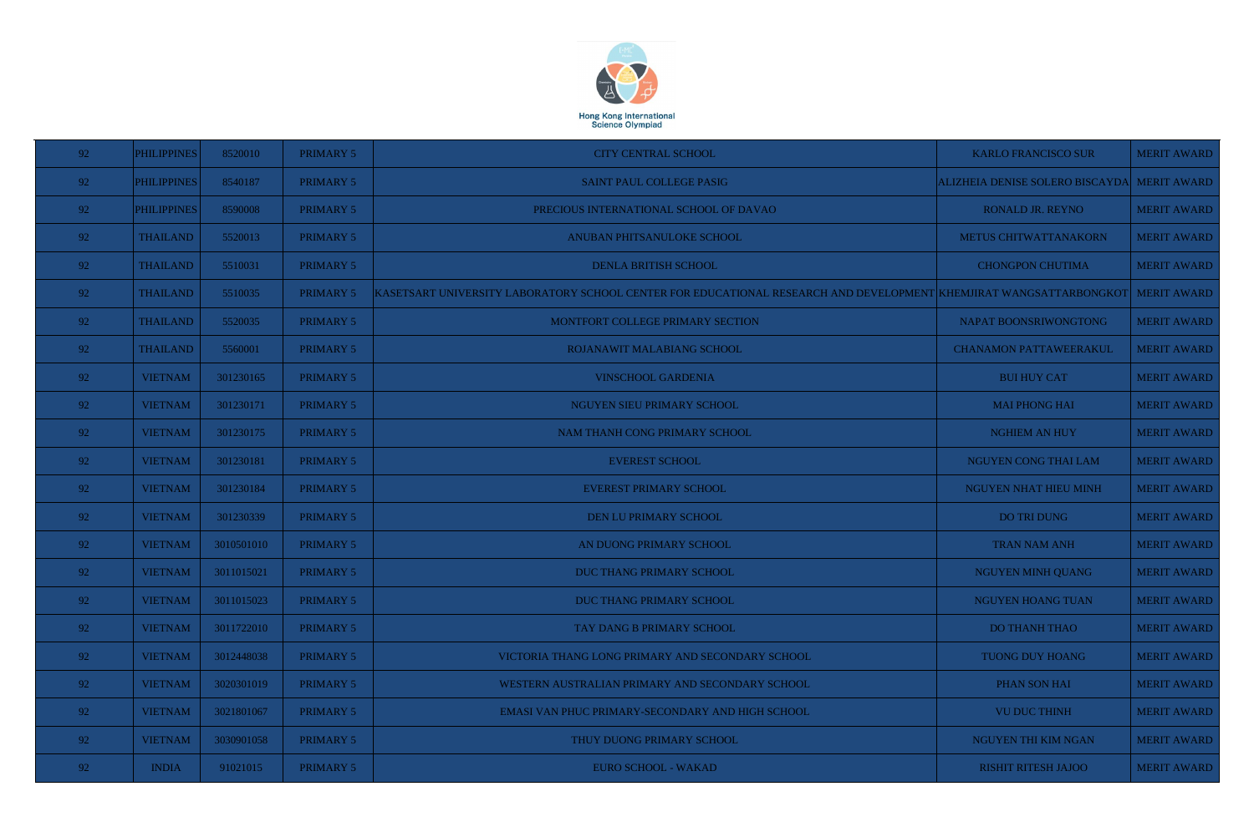

| 92   | <b>PHILIPPINES</b> | 8520010    | PRIMARY 5        | <b>CITY CENTRAL SCHOOL</b>                                                                                                     | <b>KARLO FRANCISCO SUR</b>                  | <b>MERIT AWARD</b> |
|------|--------------------|------------|------------------|--------------------------------------------------------------------------------------------------------------------------------|---------------------------------------------|--------------------|
| - 92 | <b>PHILIPPINES</b> | 8540187    | PRIMARY 5        | SAINT PAUL COLLEGE PASIG                                                                                                       | ALIZHEIA DENISE SOLERO BISCAYDA MERIT AWARD |                    |
| 92   | <b>PHILIPPINES</b> | 8590008    | PRIMARY 5        | PRECIOUS INTERNATIONAL SCHOOL OF DAVAO                                                                                         | <b>RONALD JR. REYNO</b>                     | <b>MERIT AWARD</b> |
| 92   | <b>THAILAND</b>    | 5520013    | PRIMARY 5        | ANUBAN PHITSANULOKE SCHOOL                                                                                                     | METUS CHITWATTANAKORN                       | <b>MERIT AWARD</b> |
| 92   | <b>THAILAND</b>    | 5510031    | PRIMARY 5        | <b>DENLA BRITISH SCHOOL</b>                                                                                                    | <b>CHONGPON CHUTIMA</b>                     | <b>MERIT AWARD</b> |
| 92   | <b>THAILAND</b>    | 5510035    | <b>PRIMARY 5</b> | KASETSART UNIVERSITY LABORATORY SCHOOL CENTER FOR EDUCATIONAL RESEARCH AND DEVELOPMENT KHEMJIRAT WANGSATTARBONGKOT MERIT AWARD |                                             |                    |
| 92   | <b>THAILAND</b>    | 5520035    | <b>PRIMARY 5</b> | MONTFORT COLLEGE PRIMARY SECTION                                                                                               | NAPAT BOONSRIWONGTONG                       | <b>MERIT AWARD</b> |
| 92   | <b>THAILAND</b>    | 5560001    | PRIMARY 5        | ROJANAWIT MALABIANG SCHOOL                                                                                                     | <b>CHANAMON PATTAWEERAKUL</b>               | <b>MERIT AWARD</b> |
| 92   | <b>VIETNAM</b>     | 301230165  | <b>PRIMARY 5</b> | <b>VINSCHOOL GARDENIA</b>                                                                                                      | <b>BUI HUY CAT</b>                          | <b>MERIT AWARD</b> |
| 92   | <b>VIETNAM</b>     | 301230171  | PRIMARY 5        | NGUYEN SIEU PRIMARY SCHOOL                                                                                                     | <b>MAI PHONG HAI</b>                        | <b>MERIT AWARD</b> |
| 92   | <b>VIETNAM</b>     | 301230175  | <b>PRIMARY 5</b> | NAM THANH CONG PRIMARY SCHOOL                                                                                                  | <b>NGHIEM AN HUY</b>                        | <b>MERIT AWARD</b> |
| 92   | <b>VIETNAM</b>     | 301230181  | <b>PRIMARY 5</b> | <b>EVEREST SCHOOL</b>                                                                                                          | NGUYEN CONG THAI LAM                        | <b>MERIT AWARD</b> |
| 92   | <b>VIETNAM</b>     | 301230184  | <b>PRIMARY 5</b> | <b>EVEREST PRIMARY SCHOOL</b>                                                                                                  | NGUYEN NHAT HIEU MINH                       | <b>MERIT AWARD</b> |
| 92   | <b>VIETNAM</b>     | 301230339  | <b>PRIMARY 5</b> | DEN LU PRIMARY SCHOOL                                                                                                          | DO TRI DUNG                                 | <b>MERIT AWARD</b> |
| 92   | <b>VIETNAM</b>     | 3010501010 | PRIMARY 5        | AN DUONG PRIMARY SCHOOL                                                                                                        | <b>TRAN NAM ANH</b>                         | <b>MERIT AWARD</b> |
| 92   | <b>VIETNAM</b>     | 3011015021 | PRIMARY 5        | DUC THANG PRIMARY SCHOOL                                                                                                       | <b>NGUYEN MINH QUANG</b>                    | <b>MERIT AWARD</b> |
| 92   | <b>VIETNAM</b>     | 3011015023 | PRIMARY 5        | <b>DUC THANG PRIMARY SCHOOL</b>                                                                                                | NGUYEN HOANG TUAN                           | <b>MERIT AWARD</b> |
| 92   | <b>VIETNAM</b>     | 3011722010 | PRIMARY 5        | TAY DANG B PRIMARY SCHOOL                                                                                                      | <b>DO THANH THAO</b>                        | <b>MERIT AWARD</b> |
| 92   | <b>VIETNAM</b>     | 3012448038 | PRIMARY 5        | VICTORIA THANG LONG PRIMARY AND SECONDARY SCHOOL                                                                               | TUONG DUY HOANG                             | <b>MERIT AWARD</b> |
| 92   | <b>VIETNAM</b>     | 3020301019 | PRIMARY 5        | WESTERN AUSTRALIAN PRIMARY AND SECONDARY SCHOOL                                                                                | PHAN SON HAI                                | <b>MERIT AWARD</b> |
| 92   | <b>VIETNAM</b>     | 3021801067 | PRIMARY 5        | EMASI VAN PHUC PRIMARY-SECONDARY AND HIGH SCHOOL                                                                               | <b>VU DUC THINH</b>                         | <b>MERIT AWARD</b> |
| 92   | <b>VIETNAM</b>     | 3030901058 | PRIMARY 5        | THUY DUONG PRIMARY SCHOOL                                                                                                      | NGUYEN THI KIM NGAN                         | <b>MERIT AWARD</b> |
| 92   | <b>INDIA</b>       | 91021015   | PRIMARY 5        | EURO SCHOOL - WAKAD                                                                                                            | <b>RISHIT RITESH JAJOO</b>                  | <b>MERIT AWARD</b> |